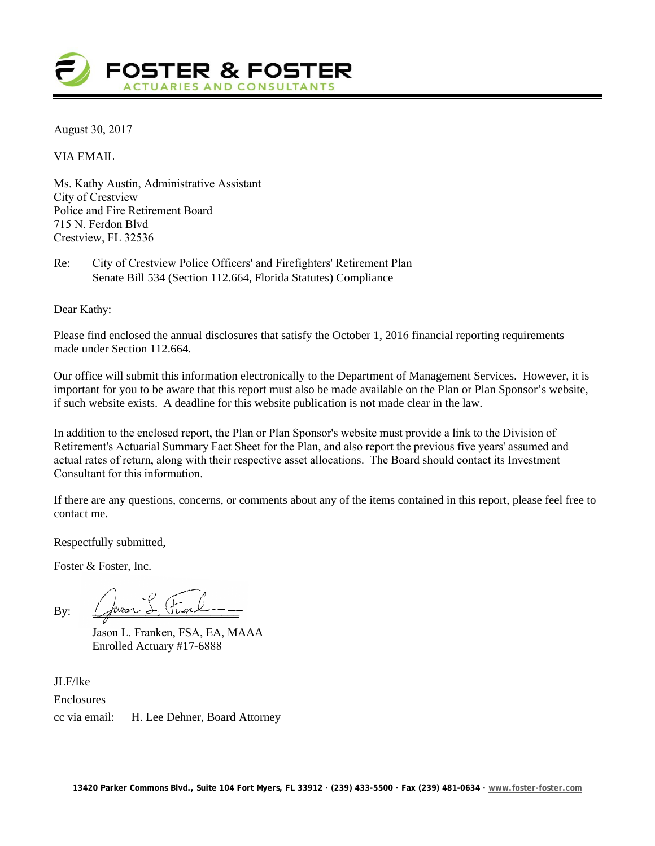

August 30, 2017

VIA EMAIL

Ms. Kathy Austin, Administrative Assistant City of Crestview Police and Fire Retirement Board 715 N. Ferdon Blvd Crestview, FL 32536

Re: City of Crestview Police Officers' and Firefighters' Retirement Plan Senate Bill 534 (Section 112.664, Florida Statutes) Compliance

Dear Kathy:

Please find enclosed the annual disclosures that satisfy the October 1, 2016 financial reporting requirements made under Section 112.664.

Our office will submit this information electronically to the Department of Management Services. However, it is important for you to be aware that this report must also be made available on the Plan or Plan Sponsor's website, if such website exists. A deadline for this website publication is not made clear in the law.

In addition to the enclosed report, the Plan or Plan Sponsor's website must provide a link to the Division of Retirement's Actuarial Summary Fact Sheet for the Plan, and also report the previous five years' assumed and actual rates of return, along with their respective asset allocations. The Board should contact its Investment Consultant for this information.

If there are any questions, concerns, or comments about any of the items contained in this report, please feel free to contact me.

Respectfully submitted,

Foster & Foster, Inc.

By:  $Q$  ver  $\rightarrow$  Unone

Jason L. Franken, FSA, EA, MAAA Enrolled Actuary #17-6888

JLF/lke Enclosures cc via email: H. Lee Dehner, Board Attorney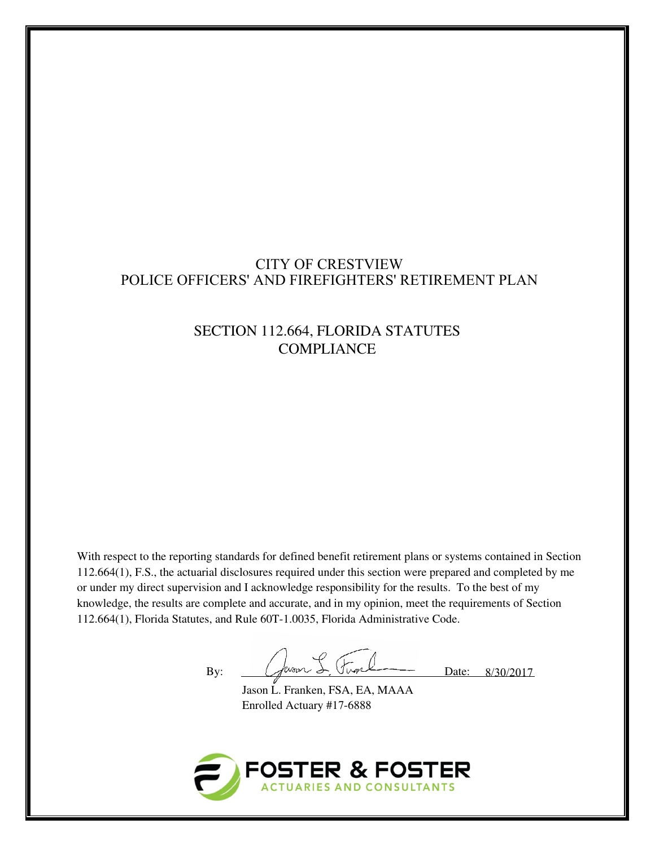# CITY OF CRESTVIEW POLICE OFFICERS' AND FIREFIGHTERS' RETIREMENT PLAN

# SECTION 112.664, FLORIDA STATUTES **COMPLIANCE**

With respect to the reporting standards for defined benefit retirement plans or systems contained in Section 112.664(1), F.S., the actuarial disclosures required under this section were prepared and completed by me or under my direct supervision and I acknowledge responsibility for the results. To the best of my knowledge, the results are complete and accurate, and in my opinion, meet the requirements of Section 112.664(1), Florida Statutes, and Rule 60T-1.0035, Florida Administrative Code.

By: Cosar L. Front Date: 8/30/2017

Jason L. Franken, FSA, EA, MAAA Enrolled Actuary #17-6888

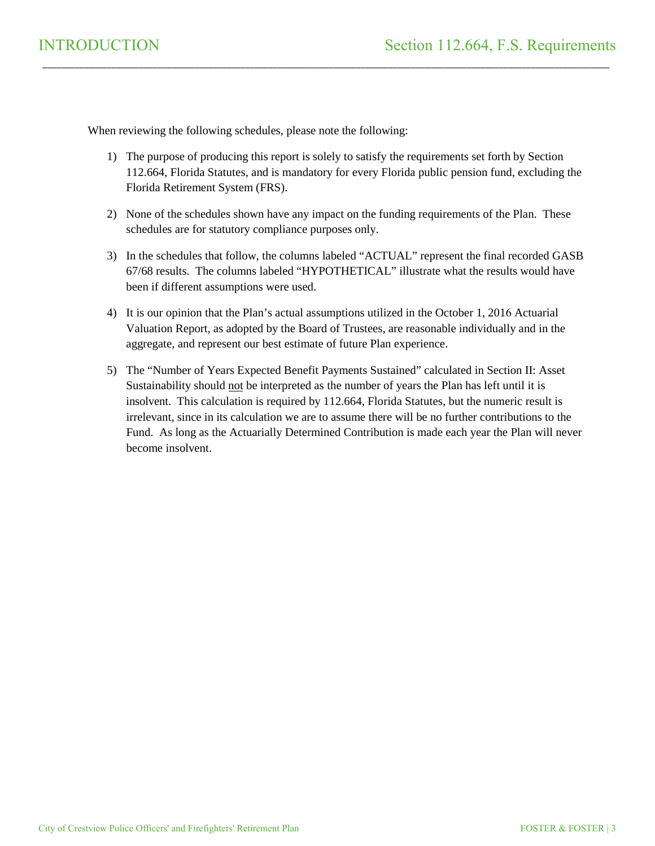When reviewing the following schedules, please note the following:

1) The purpose of producing this report is solely to satisfy the requirements set forth by Section 112.664, Florida Statutes, and is mandatory for every Florida public pension fund, excluding the Florida Retirement System (FRS).

\_\_\_\_\_\_\_\_\_\_\_\_\_\_\_\_\_\_\_\_\_\_\_\_\_\_\_\_\_\_\_\_\_\_\_\_\_\_\_\_\_\_\_\_\_\_\_\_\_\_\_\_\_\_\_\_\_\_\_\_\_\_\_\_\_\_\_\_\_\_\_\_\_\_\_\_\_\_\_\_\_\_\_\_\_\_\_\_\_\_\_\_\_\_\_\_\_\_\_\_\_\_\_\_\_\_\_\_\_\_\_\_\_\_\_\_\_\_\_\_\_\_\_

- 2) None of the schedules shown have any impact on the funding requirements of the Plan. These schedules are for statutory compliance purposes only.
- 3) In the schedules that follow, the columns labeled "ACTUAL" represent the final recorded GASB 67/68 results. The columns labeled "HYPOTHETICAL" illustrate what the results would have been if different assumptions were used.
- 4) It is our opinion that the Plan's actual assumptions utilized in the October 1, 2016 Actuarial Valuation Report, as adopted by the Board of Trustees, are reasonable individually and in the aggregate, and represent our best estimate of future Plan experience.
- 5) The "Number of Years Expected Benefit Payments Sustained" calculated in Section II: Asset Sustainability should not be interpreted as the number of years the Plan has left until it is insolvent. This calculation is required by 112.664, Florida Statutes, but the numeric result is irrelevant, since in its calculation we are to assume there will be no further contributions to the Fund. As long as the Actuarially Determined Contribution is made each year the Plan will never become insolvent.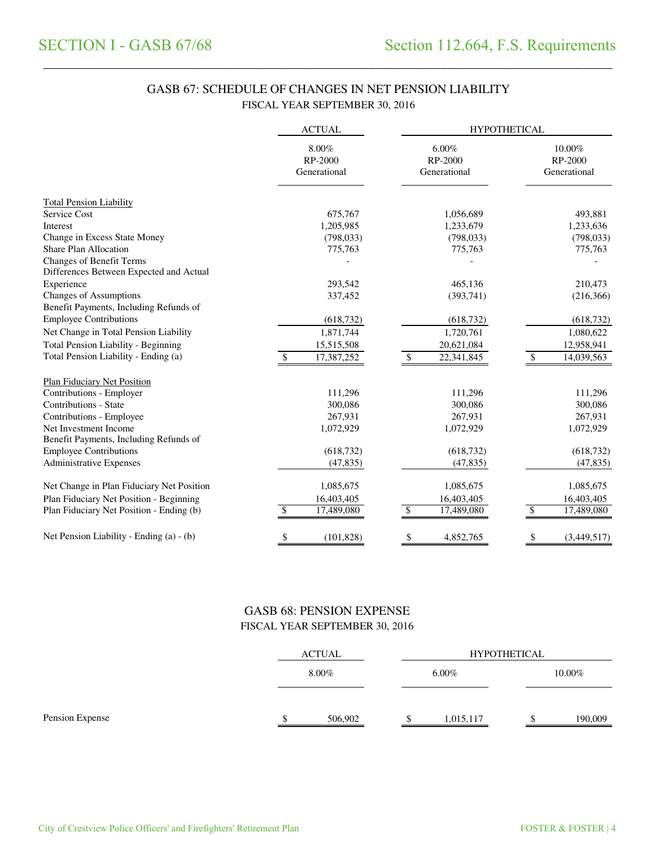# GASB 67: SCHEDULE OF CHANGES IN NET PENSION LIABILITY FISCAL YEAR SEPTEMBER 30, 2016

\_\_\_\_\_\_\_\_\_\_\_\_\_\_\_\_\_\_\_\_\_\_\_\_\_\_\_\_\_\_\_\_\_\_\_\_\_\_\_\_\_\_\_\_\_\_\_\_\_\_\_\_\_\_\_\_\_\_\_\_\_\_\_\_\_\_\_\_\_\_\_\_\_\_\_\_\_\_\_\_\_\_\_\_\_\_\_\_\_\_\_\_\_\_\_\_\_\_\_\_\_\_\_\_\_\_\_\_\_\_\_\_\_\_\_\_\_\_\_\_\_\_\_\_\_\_\_\_\_\_\_\_\_

|                                                                            | <b>ACTUAL</b>                    | <b>HYPOTHETICAL</b>                 |                                   |  |  |
|----------------------------------------------------------------------------|----------------------------------|-------------------------------------|-----------------------------------|--|--|
|                                                                            | 8.00%<br>RP-2000<br>Generational | $6.00\%$<br>RP-2000<br>Generational | 10.00%<br>RP-2000<br>Generational |  |  |
| <b>Total Pension Liability</b>                                             |                                  |                                     |                                   |  |  |
| Service Cost                                                               | 675,767                          | 1,056,689                           | 493,881                           |  |  |
| Interest                                                                   | 1,205,985                        | 1,233,679                           | 1,233,636                         |  |  |
| Change in Excess State Money                                               | (798, 033)                       | (798, 033)                          | (798, 033)                        |  |  |
| <b>Share Plan Allocation</b>                                               | 775,763                          | 775,763                             | 775,763                           |  |  |
| <b>Changes of Benefit Terms</b><br>Differences Between Expected and Actual |                                  |                                     |                                   |  |  |
| Experience                                                                 | 293,542                          | 465,136                             | 210,473                           |  |  |
| <b>Changes of Assumptions</b>                                              | 337,452                          | (393,741)                           | (216, 366)                        |  |  |
| Benefit Payments, Including Refunds of                                     |                                  |                                     |                                   |  |  |
| <b>Employee Contributions</b>                                              | (618, 732)                       | (618, 732)                          | (618, 732)                        |  |  |
| Net Change in Total Pension Liability                                      | 1,871,744                        | 1,720,761                           | 1,080,622                         |  |  |
| Total Pension Liability - Beginning                                        | 15,515,508                       | 20,621,084                          | 12,958,941                        |  |  |
| Total Pension Liability - Ending (a)                                       | 17,387,252                       | 22,341,845<br>\$                    | \$<br>14,039,563                  |  |  |
| <b>Plan Fiduciary Net Position</b>                                         |                                  |                                     |                                   |  |  |
| Contributions - Employer                                                   | 111,296                          | 111,296                             | 111,296                           |  |  |
| Contributions - State                                                      | 300,086                          | 300,086                             | 300,086                           |  |  |
| Contributions - Employee                                                   | 267,931                          | 267,931                             | 267,931                           |  |  |
| Net Investment Income                                                      | 1,072,929                        | 1,072,929                           | 1,072,929                         |  |  |
| Benefit Payments, Including Refunds of                                     |                                  |                                     |                                   |  |  |
| <b>Employee Contributions</b>                                              | (618, 732)                       | (618, 732)                          | (618, 732)                        |  |  |
| <b>Administrative Expenses</b>                                             | (47, 835)                        | (47, 835)                           | (47, 835)                         |  |  |
| Net Change in Plan Fiduciary Net Position                                  | 1,085,675                        | 1,085,675                           | 1,085,675                         |  |  |
| Plan Fiduciary Net Position - Beginning                                    | 16,403,405                       | 16,403,405                          | 16,403,405                        |  |  |
| Plan Fiduciary Net Position - Ending (b)                                   | 17,489,080<br>\$.                | 17,489,080<br>\$                    | 17,489,080<br>\$                  |  |  |
| Net Pension Liability - Ending (a) - (b)                                   | (101, 828)<br>\$                 | \$<br>4,852,765                     | \$<br>(3,449,517)                 |  |  |

## GASB 68: PENSION EXPENSE FISCAL YEAR SEPTEMBER 30, 2016

|                 | ACTUAL<br>8.00% |         | <b>HYPOTHETICAL</b> |  |         |  |
|-----------------|-----------------|---------|---------------------|--|---------|--|
|                 |                 |         | $6.00\%$            |  | 10.00%  |  |
| Pension Expense |                 | 506,902 | 1,015,117           |  | 190,009 |  |
|                 |                 |         |                     |  |         |  |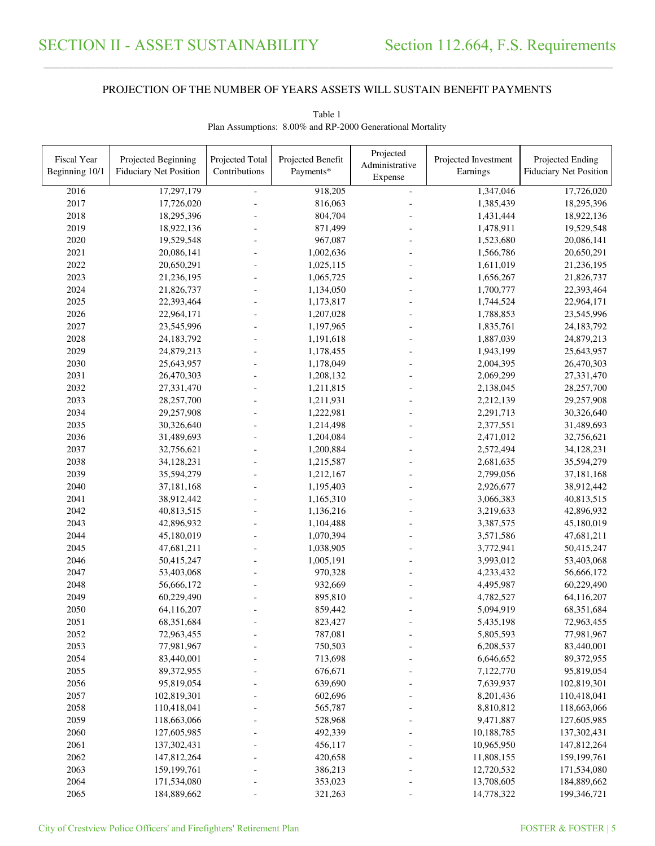\_\_\_\_\_\_\_\_\_\_\_\_\_\_\_\_\_\_\_\_\_\_\_\_\_\_\_\_\_\_\_\_\_\_\_\_\_\_\_\_\_\_\_\_\_\_\_\_\_\_\_\_\_\_\_\_\_\_\_\_\_\_\_\_\_\_\_\_\_\_\_\_\_\_\_\_\_\_\_\_\_\_\_\_\_\_\_\_\_\_\_\_\_\_\_\_\_\_\_\_\_\_\_\_\_\_\_\_\_\_\_\_\_\_\_\_\_\_\_\_\_\_\_\_\_\_\_\_\_\_\_\_\_\_\_\_\_\_\_\_\_\_\_\_\_\_\_\_\_\_

| Fiscal Year<br>Beginning 10/1 | Projected Beginning<br><b>Fiduciary Net Position</b> | Projected Total<br>Contributions | Projected Benefit<br>Payments* | Projected<br>Administrative<br>Expense | Projected Investment<br>Earnings | Projected Ending<br><b>Fiduciary Net Position</b> |
|-------------------------------|------------------------------------------------------|----------------------------------|--------------------------------|----------------------------------------|----------------------------------|---------------------------------------------------|
| 2016                          | 17,297,179                                           |                                  | 918,205                        | $\equiv$                               | 1,347,046                        | 17,726,020                                        |
| 2017                          | 17,726,020                                           |                                  | 816,063                        |                                        | 1,385,439                        | 18,295,396                                        |
| 2018                          | 18,295,396                                           |                                  | 804,704                        |                                        | 1,431,444                        | 18,922,136                                        |
| 2019                          | 18,922,136                                           |                                  | 871,499                        |                                        | 1,478,911                        | 19,529,548                                        |
| 2020                          | 19,529,548                                           |                                  | 967,087                        |                                        | 1,523,680                        | 20,086,141                                        |
| 2021                          | 20,086,141                                           |                                  | 1,002,636                      |                                        | 1,566,786                        | 20,650,291                                        |
| 2022                          | 20,650,291                                           |                                  | 1,025,115                      |                                        | 1,611,019                        | 21,236,195                                        |
| 2023                          | 21,236,195                                           |                                  | 1,065,725                      |                                        | 1,656,267                        | 21,826,737                                        |
| 2024                          | 21,826,737                                           |                                  | 1,134,050                      |                                        | 1,700,777                        | 22,393,464                                        |
| 2025                          | 22,393,464                                           |                                  | 1,173,817                      |                                        | 1,744,524                        | 22,964,171                                        |
| 2026                          | 22,964,171                                           |                                  | 1,207,028                      |                                        | 1,788,853                        | 23,545,996                                        |
| 2027                          | 23,545,996                                           |                                  | 1,197,965                      |                                        | 1,835,761                        | 24,183,792                                        |
| 2028                          | 24,183,792                                           |                                  | 1,191,618                      |                                        | 1,887,039                        | 24,879,213                                        |
| 2029                          | 24,879,213                                           |                                  | 1,178,455                      |                                        | 1,943,199                        | 25,643,957                                        |
| 2030                          | 25,643,957                                           |                                  | 1,178,049                      |                                        | 2,004,395                        | 26,470,303                                        |
| 2031                          | 26,470,303                                           |                                  | 1,208,132                      |                                        | 2,069,299                        | 27,331,470                                        |
| 2032                          | 27,331,470                                           | $\overline{a}$                   | 1,211,815                      |                                        | 2,138,045                        | 28,257,700                                        |
| 2033                          | 28,257,700                                           | L,                               | 1,211,931                      |                                        | 2,212,139                        | 29,257,908                                        |
| 2034                          | 29,257,908                                           | L,                               | 1,222,981                      |                                        | 2,291,713                        | 30,326,640                                        |
| 2035                          | 30,326,640                                           | L,                               | 1,214,498                      |                                        | 2,377,551                        | 31,489,693                                        |
| 2036                          | 31,489,693                                           |                                  | 1,204,084                      |                                        | 2,471,012                        | 32,756,621                                        |
| 2037                          | 32,756,621                                           |                                  | 1,200,884                      |                                        | 2,572,494                        | 34,128,231                                        |
| 2038                          | 34,128,231                                           |                                  | 1,215,587                      |                                        | 2,681,635                        | 35,594,279                                        |
| 2039                          | 35,594,279                                           | $\overline{a}$                   | 1,212,167                      |                                        | 2,799,056                        | 37,181,168                                        |
| 2040                          | 37,181,168                                           |                                  | 1,195,403                      |                                        | 2,926,677                        | 38,912,442                                        |
| 2041                          | 38,912,442                                           |                                  | 1,165,310                      |                                        | 3,066,383                        | 40,813,515                                        |
| 2042                          | 40,813,515                                           |                                  | 1,136,216                      |                                        | 3,219,633                        | 42,896,932                                        |
| 2043                          | 42,896,932                                           |                                  | 1,104,488                      |                                        | 3,387,575                        | 45,180,019                                        |
| 2044                          | 45,180,019                                           | L.                               | 1,070,394                      |                                        | 3,571,586                        | 47,681,211                                        |
| 2045                          | 47,681,211                                           | L.                               | 1,038,905                      |                                        | 3,772,941                        | 50,415,247                                        |
| 2046                          | 50,415,247                                           |                                  | 1,005,191                      |                                        | 3,993,012                        | 53,403,068                                        |
| 2047                          | 53,403,068                                           |                                  | 970,328                        |                                        | 4,233,432                        | 56,666,172                                        |
| 2048                          | 56,666,172                                           |                                  | 932,669                        |                                        | 4,495,987                        | 60,229,490                                        |
| 2049                          | 60,229,490                                           |                                  | 895,810                        |                                        | 4,782,527                        | 64,116,207                                        |
| 2050                          | 64,116,207                                           |                                  | 859,442                        |                                        | 5,094,919                        | 68,351,684                                        |
| 2051                          | 68,351,684                                           |                                  | 823,427                        |                                        | 5,435,198                        | 72,963,455                                        |
| 2052                          | 72,963,455                                           |                                  | 787,081                        |                                        | 5,805,593                        | 77,981,967                                        |
| 2053                          | 77,981,967                                           |                                  | 750,503                        |                                        | 6,208,537                        | 83,440,001                                        |
| 2054                          | 83,440,001                                           |                                  | 713,698                        |                                        | 6,646,652                        | 89,372,955                                        |
| 2055                          | 89,372,955                                           |                                  | 676,671                        |                                        | 7,122,770                        | 95,819,054                                        |
| 2056                          | 95,819,054                                           |                                  | 639,690                        |                                        |                                  |                                                   |
| 2057                          | 102,819,301                                          |                                  |                                |                                        | 7,639,937<br>8,201,436           | 102,819,301<br>110,418,041                        |
|                               |                                                      |                                  | 602,696                        |                                        |                                  |                                                   |
| 2058                          | 110,418,041                                          |                                  | 565,787                        |                                        | 8,810,812                        | 118,663,066                                       |
| 2059                          | 118,663,066                                          |                                  | 528,968                        |                                        | 9,471,887                        | 127,605,985                                       |
| 2060                          | 127,605,985                                          |                                  | 492,339                        |                                        | 10,188,785                       | 137, 302, 431                                     |
| 2061                          | 137,302,431                                          |                                  | 456,117                        |                                        | 10,965,950                       | 147,812,264                                       |
| 2062                          | 147,812,264                                          |                                  | 420,658                        |                                        | 11,808,155                       | 159, 199, 761                                     |
| 2063                          | 159,199,761                                          |                                  | 386,213                        |                                        | 12,720,532                       | 171,534,080                                       |
| 2064                          | 171,534,080                                          |                                  | 353,023                        |                                        | 13,708,605                       | 184,889,662                                       |
| 2065                          | 184,889,662                                          |                                  | 321,263                        |                                        | 14,778,322                       | 199,346,721                                       |

Table 1 Plan Assumptions: 8.00% and RP-2000 Generational Mortality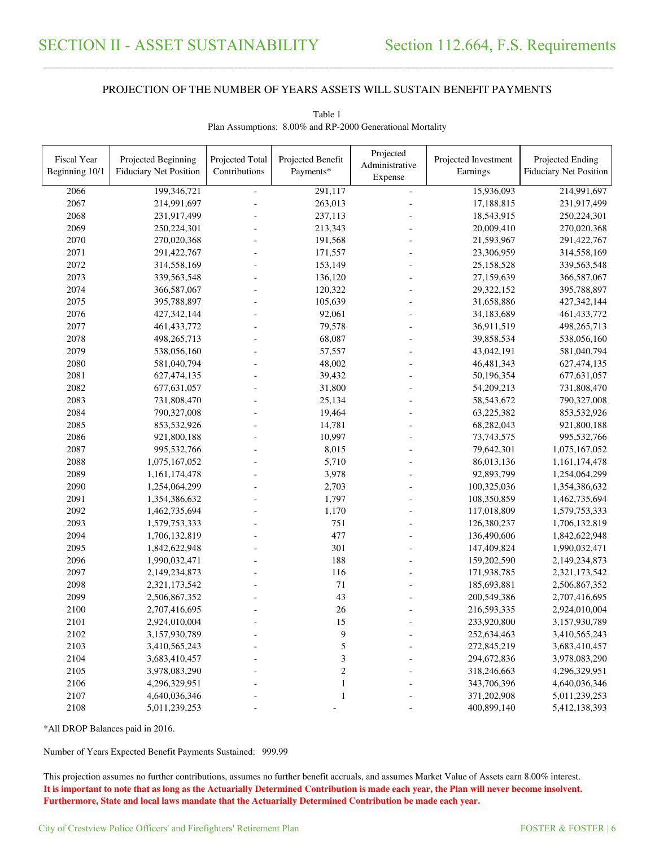\_\_\_\_\_\_\_\_\_\_\_\_\_\_\_\_\_\_\_\_\_\_\_\_\_\_\_\_\_\_\_\_\_\_\_\_\_\_\_\_\_\_\_\_\_\_\_\_\_\_\_\_\_\_\_\_\_\_\_\_\_\_\_\_\_\_\_\_\_\_\_\_\_\_\_\_\_\_\_\_\_\_\_\_\_\_\_\_\_\_\_\_\_\_\_\_\_\_\_\_\_\_\_\_\_\_\_\_\_\_\_\_\_\_\_\_\_\_\_\_\_\_\_\_\_\_\_\_\_\_\_\_\_\_\_\_\_\_\_\_\_\_\_\_\_\_\_\_\_\_

| Fiscal Year<br>Beginning 10/1 | Projected Beginning<br><b>Fiduciary Net Position</b> | Projected Total<br>Contributions | Projected Benefit<br>Payments* | Projected<br>Administrative<br>Expense | Projected Investment<br>Earnings | Projected Ending<br><b>Fiduciary Net Position</b> |
|-------------------------------|------------------------------------------------------|----------------------------------|--------------------------------|----------------------------------------|----------------------------------|---------------------------------------------------|
| 2066                          | 199,346,721                                          |                                  | 291,117                        | $\frac{1}{2}$                          | 15,936,093                       | 214,991,697                                       |
| 2067                          | 214,991,697                                          |                                  | 263,013                        |                                        | 17,188,815                       | 231,917,499                                       |
| 2068                          | 231,917,499                                          |                                  | 237,113                        |                                        | 18,543,915                       | 250,224,301                                       |
| 2069                          | 250,224,301                                          |                                  | 213,343                        |                                        | 20,009,410                       | 270,020,368                                       |
| 2070                          | 270,020,368                                          |                                  | 191,568                        |                                        | 21,593,967                       | 291,422,767                                       |
| 2071                          | 291,422,767                                          |                                  | 171,557                        |                                        | 23,306,959                       | 314,558,169                                       |
| 2072                          | 314,558,169                                          |                                  | 153,149                        |                                        | 25,158,528                       | 339,563,548                                       |
| 2073                          | 339,563,548                                          |                                  | 136,120                        |                                        | 27,159,639                       | 366,587,067                                       |
| 2074                          | 366,587,067                                          |                                  | 120,322                        |                                        | 29,322,152                       | 395,788,897                                       |
| 2075                          | 395,788,897                                          |                                  | 105,639                        |                                        | 31,658,886                       | 427, 342, 144                                     |
| 2076                          | 427,342,144                                          |                                  | 92,061                         |                                        | 34,183,689                       | 461, 433, 772                                     |
| 2077                          | 461, 433, 772                                        |                                  | 79,578                         |                                        | 36,911,519                       | 498,265,713                                       |
| 2078                          | 498,265,713                                          |                                  | 68,087                         |                                        | 39,858,534                       | 538,056,160                                       |
| 2079                          | 538,056,160                                          |                                  | 57,557                         |                                        | 43,042,191                       | 581,040,794                                       |
| 2080                          | 581,040,794                                          |                                  | 48,002                         |                                        | 46,481,343                       | 627,474,135                                       |
| 2081                          | 627,474,135                                          |                                  | 39,432                         |                                        | 50,196,354                       | 677, 631, 057                                     |
| 2082                          | 677, 631, 057                                        |                                  | 31,800                         |                                        | 54,209,213                       | 731,808,470                                       |
| 2083                          | 731,808,470                                          |                                  | 25,134                         |                                        | 58, 543, 672                     | 790,327,008                                       |
| 2084                          | 790,327,008                                          |                                  | 19,464                         |                                        | 63,225,382                       | 853,532,926                                       |
| 2085                          | 853,532,926                                          |                                  | 14,781                         |                                        | 68,282,043                       | 921,800,188                                       |
| 2086                          | 921,800,188                                          |                                  | 10,997                         |                                        | 73,743,575                       | 995,532,766                                       |
| 2087                          | 995,532,766                                          |                                  | 8,015                          |                                        | 79,642,301                       | 1,075,167,052                                     |
| 2088                          | 1,075,167,052                                        |                                  | 5,710                          |                                        | 86,013,136                       | 1,161,174,478                                     |
| 2089                          | 1,161,174,478                                        |                                  | 3,978                          |                                        | 92,893,799                       | 1,254,064,299                                     |
| 2090                          | 1,254,064,299                                        |                                  | 2,703                          |                                        | 100,325,036                      | 1,354,386,632                                     |
| 2091                          | 1,354,386,632                                        |                                  | 1,797                          |                                        | 108,350,859                      | 1,462,735,694                                     |
| 2092                          | 1,462,735,694                                        |                                  | 1,170                          |                                        | 117,018,809                      | 1,579,753,333                                     |
| 2093                          | 1,579,753,333                                        |                                  | 751                            |                                        | 126,380,237                      | 1,706,132,819                                     |
| 2094                          | 1,706,132,819                                        |                                  | 477                            |                                        | 136,490,606                      | 1,842,622,948                                     |
| 2095                          | 1,842,622,948                                        |                                  | 301                            |                                        | 147,409,824                      | 1,990,032,471                                     |
| 2096                          | 1,990,032,471                                        |                                  | 188                            |                                        | 159,202,590                      | 2,149,234,873                                     |
| 2097                          | 2,149,234,873                                        |                                  | 116                            |                                        | 171,938,785                      | 2,321,173,542                                     |
| 2098                          | 2,321,173,542                                        |                                  | 71                             |                                        | 185,693,881                      | 2,506,867,352                                     |
| 2099                          | 2,506,867,352                                        |                                  | 43                             |                                        | 200,549,386                      | 2,707,416,695                                     |
| 2100                          | 2,707,416,695                                        |                                  | 26                             |                                        | 216,593,335                      | 2,924,010,004                                     |
| 2101                          | 2,924,010,004                                        |                                  | 15                             |                                        | 233,920,800                      | 3,157,930,789                                     |
| 2102                          | 3,157,930,789                                        |                                  | 9                              |                                        | 252,634,463                      | 3,410,565,243                                     |
| 2103                          | 3,410,565,243                                        |                                  | 5                              |                                        | 272,845,219                      | 3,683,410,457                                     |
| 2104                          | 3,683,410,457                                        |                                  | 3                              |                                        | 294,672,836                      | 3,978,083,290                                     |
| 2105                          | 3,978,083,290                                        |                                  | $\overline{\mathbf{c}}$        |                                        | 318,246,663                      | 4,296,329,951                                     |
| 2106                          | 4,296,329,951                                        |                                  | $\,1\,$                        |                                        | 343,706,396                      | 4,640,036,346                                     |
| 2107                          | 4,640,036,346                                        |                                  | $\mathbf{1}$                   |                                        | 371,202,908                      | 5,011,239,253                                     |
| 2108                          | 5,011,239,253                                        |                                  |                                |                                        | 400,899,140                      | 5,412,138,393                                     |
|                               |                                                      |                                  |                                |                                        |                                  |                                                   |

Table 1 Plan Assumptions: 8.00% and RP-2000 Generational Mortality

\*All DROP Balances paid in 2016.

Number of Years Expected Benefit Payments Sustained: 999.99

This projection assumes no further contributions, assumes no further benefit accruals, and assumes Market Value of Assets earn 8.00% interest. **It is important to note that as long as the Actuarially Determined Contribution is made each year, the Plan will never become insolvent. Furthermore, State and local laws mandate that the Actuarially Determined Contribution be made each year.**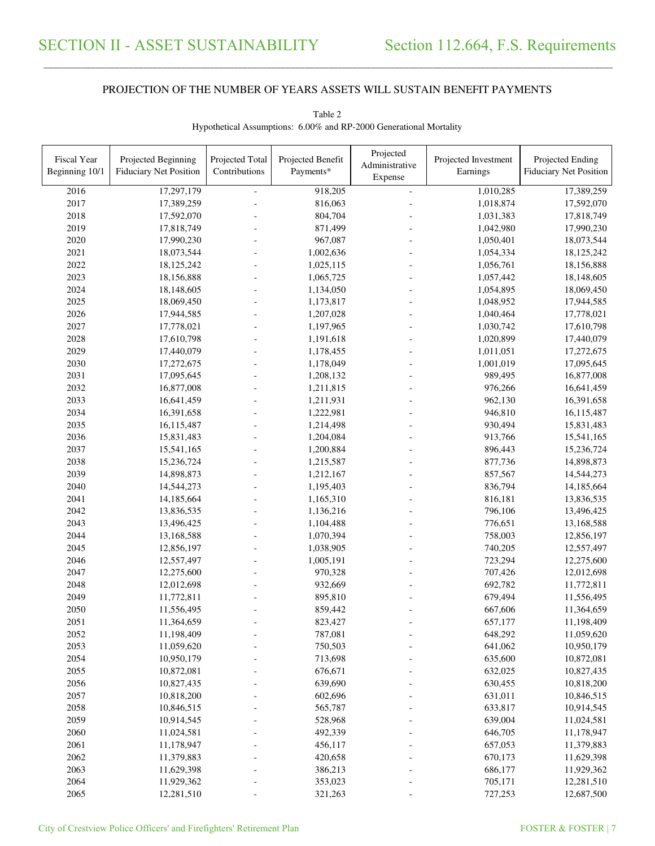\_\_\_\_\_\_\_\_\_\_\_\_\_\_\_\_\_\_\_\_\_\_\_\_\_\_\_\_\_\_\_\_\_\_\_\_\_\_\_\_\_\_\_\_\_\_\_\_\_\_\_\_\_\_\_\_\_\_\_\_\_\_\_\_\_\_\_\_\_\_\_\_\_\_\_\_\_\_\_\_\_\_\_\_\_\_\_\_\_\_\_\_\_\_\_\_\_\_\_\_\_\_\_\_\_\_\_\_\_\_\_\_\_\_\_\_\_\_\_\_\_\_\_\_\_\_\_\_\_\_\_\_\_\_\_\_\_\_\_\_\_\_\_\_\_\_\_\_\_\_

| Fiscal Year<br>Beginning 10/1 | Projected Beginning<br><b>Fiduciary Net Position</b> | Projected Total<br>Contributions | Projected Benefit<br>Payments* | Projected<br>Administrative | Projected Investment<br>Earnings | Projected Ending<br><b>Fiduciary Net Position</b> |
|-------------------------------|------------------------------------------------------|----------------------------------|--------------------------------|-----------------------------|----------------------------------|---------------------------------------------------|
|                               |                                                      |                                  |                                | Expense                     |                                  |                                                   |
| 2016                          | 17,297,179                                           |                                  | 918,205                        | $\overline{a}$              | 1,010,285                        | 17,389,259                                        |
| 2017                          | 17,389,259                                           |                                  | 816,063                        |                             | 1,018,874                        | 17,592,070                                        |
| 2018                          | 17,592,070                                           |                                  | 804,704                        |                             | 1,031,383                        | 17,818,749                                        |
| 2019                          | 17,818,749                                           |                                  | 871,499                        |                             | 1,042,980                        | 17,990,230                                        |
| 2020                          | 17,990,230                                           |                                  | 967,087                        |                             | 1,050,401                        | 18,073,544                                        |
| 2021                          | 18,073,544                                           |                                  | 1,002,636                      |                             | 1,054,334                        | 18,125,242                                        |
| 2022                          | 18,125,242                                           |                                  | 1,025,115                      |                             | 1,056,761                        | 18,156,888                                        |
| 2023                          | 18,156,888                                           |                                  | 1,065,725                      |                             | 1,057,442                        | 18,148,605                                        |
| 2024                          | 18,148,605                                           |                                  | 1,134,050                      |                             | 1,054,895                        | 18,069,450                                        |
| 2025                          | 18,069,450                                           |                                  | 1,173,817                      |                             | 1,048,952                        | 17,944,585                                        |
| 2026                          | 17,944,585                                           |                                  | 1,207,028                      |                             | 1,040,464                        | 17,778,021                                        |
| 2027                          | 17,778,021                                           |                                  | 1,197,965                      |                             | 1,030,742                        | 17,610,798                                        |
| 2028                          | 17,610,798                                           |                                  | 1,191,618                      |                             | 1,020,899                        | 17,440,079                                        |
| 2029                          | 17,440,079                                           |                                  | 1,178,455                      |                             | 1,011,051                        | 17,272,675                                        |
| 2030                          | 17,272,675                                           |                                  | 1,178,049                      |                             | 1,001,019                        | 17,095,645                                        |
| 2031                          | 17,095,645                                           |                                  | 1,208,132                      |                             | 989,495                          | 16,877,008                                        |
| 2032                          | 16,877,008                                           |                                  | 1,211,815                      |                             | 976,266                          | 16,641,459                                        |
| 2033                          | 16,641,459                                           |                                  | 1,211,931                      |                             | 962,130                          | 16,391,658                                        |
| 2034                          | 16,391,658                                           |                                  | 1,222,981                      |                             | 946,810                          | 16,115,487                                        |
| 2035                          | 16,115,487                                           |                                  | 1,214,498                      |                             | 930,494                          | 15,831,483                                        |
| 2036                          | 15,831,483                                           |                                  | 1,204,084                      |                             | 913,766                          | 15,541,165                                        |
| 2037                          | 15,541,165                                           |                                  | 1,200,884                      |                             | 896,443                          | 15,236,724                                        |
| 2038                          | 15,236,724                                           |                                  | 1,215,587                      |                             | 877,736                          | 14,898,873                                        |
| 2039                          | 14,898,873                                           |                                  | 1,212,167                      |                             | 857,567                          | 14,544,273                                        |
| 2040                          | 14,544,273                                           |                                  | 1,195,403                      |                             | 836,794                          | 14,185,664                                        |
| 2041                          | 14,185,664                                           |                                  | 1,165,310                      |                             | 816,181                          | 13,836,535                                        |
| 2042                          | 13,836,535                                           |                                  | 1,136,216                      |                             | 796,106                          | 13,496,425                                        |
| 2043                          | 13,496,425                                           |                                  | 1,104,488                      |                             | 776,651                          | 13,168,588                                        |
| 2044                          | 13,168,588                                           |                                  | 1,070,394                      |                             | 758,003                          | 12,856,197                                        |
| 2045                          | 12,856,197                                           |                                  | 1,038,905                      |                             | 740,205                          | 12,557,497                                        |
| 2046                          | 12,557,497                                           |                                  | 1,005,191                      |                             | 723,294                          | 12,275,600                                        |
| 2047                          | 12,275,600                                           |                                  | 970,328                        |                             | 707,426                          | 12,012,698                                        |
| 2048                          | 12,012,698                                           |                                  | 932,669                        |                             | 692,782                          | 11,772,811                                        |
| 2049                          | 11,772,811                                           |                                  | 895,810                        |                             | 679,494                          | 11,556,495                                        |
| 2050                          | 11,556,495                                           |                                  | 859,442                        |                             | 667,606                          | 11,364,659                                        |
| 2051                          | 11,364,659                                           |                                  | 823,427                        |                             | 657,177                          | 11,198,409                                        |
| 2052                          | 11,198,409                                           |                                  | 787,081                        |                             | 648,292                          | 11,059,620                                        |
| 2053                          | 11,059,620                                           |                                  | 750,503                        |                             | 641,062                          | 10,950,179                                        |
| 2054                          | 10,950,179                                           |                                  | 713,698                        |                             | 635,600                          | 10,872,081                                        |
| 2055                          | 10,872,081                                           |                                  | 676,671                        |                             | 632,025                          | 10,827,435                                        |
| 2056                          | 10,827,435                                           |                                  | 639,690                        |                             | 630,455                          | 10,818,200                                        |
| 2057                          | 10,818,200                                           |                                  | 602,696                        |                             | 631,011                          | 10,846,515                                        |
| 2058                          | 10,846,515                                           |                                  | 565,787                        |                             | 633,817                          | 10,914,545                                        |
| 2059                          | 10,914,545                                           |                                  | 528,968                        |                             | 639,004                          | 11,024,581                                        |
| 2060                          | 11,024,581                                           |                                  | 492,339                        |                             | 646,705                          | 11,178,947                                        |
| 2061                          | 11,178,947                                           |                                  | 456,117                        |                             | 657,053                          | 11,379,883                                        |
| 2062                          | 11,379,883                                           |                                  | 420,658                        |                             | 670,173                          | 11,629,398                                        |
| 2063                          | 11,629,398                                           |                                  | 386,213                        |                             | 686,177                          | 11,929,362                                        |
| 2064                          | 11,929,362                                           |                                  | 353,023                        |                             | 705,171                          | 12,281,510                                        |
| 2065                          | 12,281,510                                           |                                  | 321,263                        |                             | 727,253                          | 12,687,500                                        |

Table 2 Hypothetical Assumptions: 6.00% and RP-2000 Generational Mortality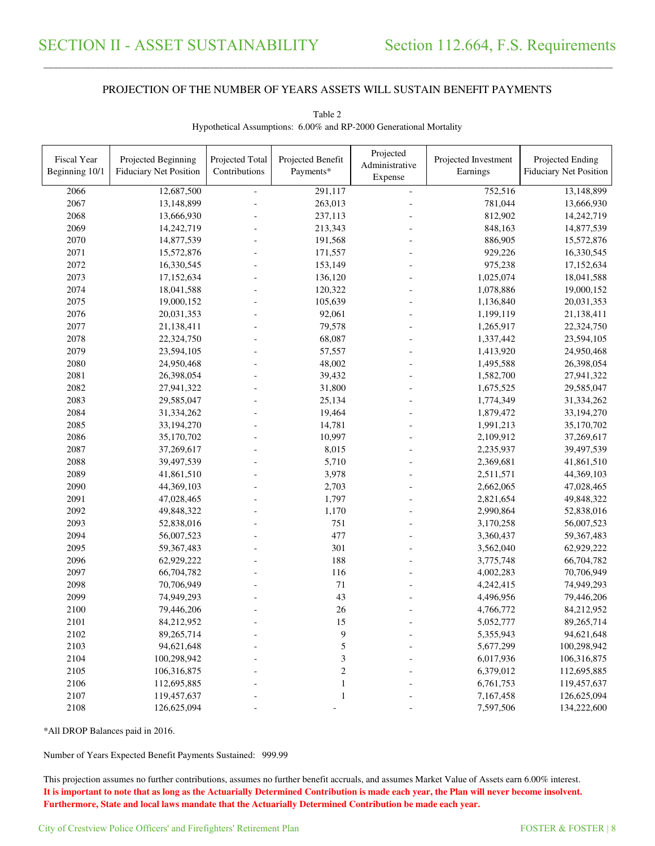\_\_\_\_\_\_\_\_\_\_\_\_\_\_\_\_\_\_\_\_\_\_\_\_\_\_\_\_\_\_\_\_\_\_\_\_\_\_\_\_\_\_\_\_\_\_\_\_\_\_\_\_\_\_\_\_\_\_\_\_\_\_\_\_\_\_\_\_\_\_\_\_\_\_\_\_\_\_\_\_\_\_\_\_\_\_\_\_\_\_\_\_\_\_\_\_\_\_\_\_\_\_\_\_\_\_\_\_\_\_\_\_\_\_\_\_\_\_\_\_\_\_\_\_\_\_\_\_\_\_\_\_\_\_\_\_\_\_\_\_\_\_\_\_\_\_\_\_\_\_

| <b>Fiscal Year</b><br>Beginning 10/1 | Projected Beginning<br><b>Fiduciary Net Position</b> | Projected Total<br>Contributions | Projected Benefit<br>Payments* | Projected<br>Administrative<br>Expense | Projected Investment<br>Earnings | Projected Ending<br><b>Fiduciary Net Position</b> |
|--------------------------------------|------------------------------------------------------|----------------------------------|--------------------------------|----------------------------------------|----------------------------------|---------------------------------------------------|
| 2066                                 | 12,687,500                                           |                                  | 291,117                        | ÷,                                     | 752,516                          | 13,148,899                                        |
| 2067                                 | 13,148,899                                           |                                  | 263,013                        |                                        | 781,044                          | 13,666,930                                        |
| 2068                                 | 13,666,930                                           |                                  | 237,113                        |                                        | 812,902                          | 14,242,719                                        |
| 2069                                 | 14,242,719                                           |                                  | 213,343                        |                                        | 848,163                          | 14,877,539                                        |
| 2070                                 | 14,877,539                                           |                                  | 191,568                        |                                        | 886,905                          | 15,572,876                                        |
| 2071                                 | 15,572,876                                           |                                  | 171,557                        |                                        | 929,226                          | 16,330,545                                        |
| 2072                                 | 16,330,545                                           |                                  | 153,149                        |                                        | 975,238                          | 17,152,634                                        |
| 2073                                 | 17,152,634                                           |                                  | 136,120                        |                                        | 1,025,074                        | 18,041,588                                        |
| 2074                                 | 18,041,588                                           |                                  | 120,322                        |                                        | 1,078,886                        | 19,000,152                                        |
| 2075                                 | 19,000,152                                           |                                  | 105,639                        |                                        | 1,136,840                        | 20,031,353                                        |
| 2076                                 | 20,031,353                                           |                                  | 92,061                         |                                        | 1,199,119                        | 21,138,411                                        |
| 2077                                 | 21,138,411                                           |                                  | 79,578                         |                                        | 1,265,917                        | 22,324,750                                        |
| 2078                                 | 22,324,750                                           |                                  | 68,087                         |                                        | 1,337,442                        | 23,594,105                                        |
| 2079                                 | 23,594,105                                           |                                  | 57,557                         |                                        | 1,413,920                        | 24,950,468                                        |
| 2080                                 | 24,950,468                                           |                                  | 48,002                         |                                        | 1,495,588                        | 26,398,054                                        |
| 2081                                 | 26,398,054                                           |                                  | 39,432                         |                                        | 1,582,700                        | 27,941,322                                        |
| 2082                                 | 27,941,322                                           |                                  | 31,800                         |                                        | 1,675,525                        | 29,585,047                                        |
| 2083                                 | 29,585,047                                           |                                  | 25,134                         |                                        | 1,774,349                        | 31,334,262                                        |
| 2084                                 | 31,334,262                                           |                                  | 19,464                         |                                        | 1,879,472                        | 33,194,270                                        |
| 2085                                 | 33,194,270                                           |                                  | 14,781                         |                                        | 1,991,213                        | 35,170,702                                        |
| 2086                                 | 35,170,702                                           |                                  | 10,997                         |                                        | 2,109,912                        | 37,269,617                                        |
| 2087                                 | 37,269,617                                           |                                  | 8,015                          |                                        | 2,235,937                        | 39,497,539                                        |
| 2088                                 | 39,497,539                                           |                                  | 5,710                          |                                        | 2,369,681                        | 41,861,510                                        |
| 2089                                 | 41,861,510                                           |                                  | 3,978                          |                                        | 2,511,571                        | 44,369,103                                        |
| 2090                                 | 44,369,103                                           |                                  | 2,703                          |                                        | 2,662,065                        | 47,028,465                                        |
| 2091                                 | 47,028,465                                           |                                  | 1,797                          |                                        | 2,821,654                        | 49,848,322                                        |
| 2092                                 | 49,848,322                                           |                                  | 1,170                          |                                        | 2,990,864                        | 52,838,016                                        |
| 2093                                 | 52,838,016                                           |                                  | 751                            |                                        | 3,170,258                        | 56,007,523                                        |
| 2094                                 | 56,007,523                                           |                                  | 477                            |                                        | 3,360,437                        | 59,367,483                                        |
| 2095                                 | 59,367,483                                           |                                  | 301                            |                                        | 3,562,040                        | 62,929,222                                        |
| 2096                                 | 62,929,222                                           |                                  | 188                            |                                        | 3,775,748                        | 66,704,782                                        |
| 2097                                 | 66,704,782                                           |                                  | 116                            |                                        | 4,002,283                        | 70,706,949                                        |
| 2098                                 | 70,706,949                                           |                                  | $71\,$                         |                                        | 4,242,415                        | 74,949,293                                        |
| 2099                                 | 74,949,293                                           |                                  | 43                             |                                        | 4,496,956                        | 79,446,206                                        |
| 2100                                 | 79,446,206                                           |                                  | 26                             |                                        | 4,766,772                        | 84,212,952                                        |
| 2101                                 | 84,212,952                                           |                                  | 15                             |                                        | 5,052,777                        | 89,265,714                                        |
| 2102                                 | 89,265,714                                           |                                  | 9                              |                                        | 5,355,943                        | 94,621,648                                        |
| 2103                                 | 94,621,648                                           |                                  | 5                              |                                        | 5,677,299                        | 100,298,942                                       |
| 2104                                 | 100,298,942                                          |                                  | 3                              |                                        | 6,017,936                        | 106,316,875                                       |
| 2105                                 | 106,316,875                                          |                                  | $\boldsymbol{2}$               |                                        | 6,379,012                        | 112,695,885                                       |
| 2106                                 | 112,695,885                                          |                                  |                                |                                        | 6,761,753                        | 119,457,637                                       |
| 2107                                 | 119,457,637                                          |                                  | 1                              |                                        | 7,167,458                        | 126,625,094                                       |
| 2108                                 | 126,625,094                                          |                                  |                                |                                        | 7,597,506                        | 134,222,600                                       |

Table 2 Hypothetical Assumptions: 6.00% and RP-2000 Generational Mortality

\*All DROP Balances paid in 2016.

Number of Years Expected Benefit Payments Sustained: 999.99

This projection assumes no further contributions, assumes no further benefit accruals, and assumes Market Value of Assets earn 6.00% interest. **It is important to note that as long as the Actuarially Determined Contribution is made each year, the Plan will never become insolvent. Furthermore, State and local laws mandate that the Actuarially Determined Contribution be made each year.**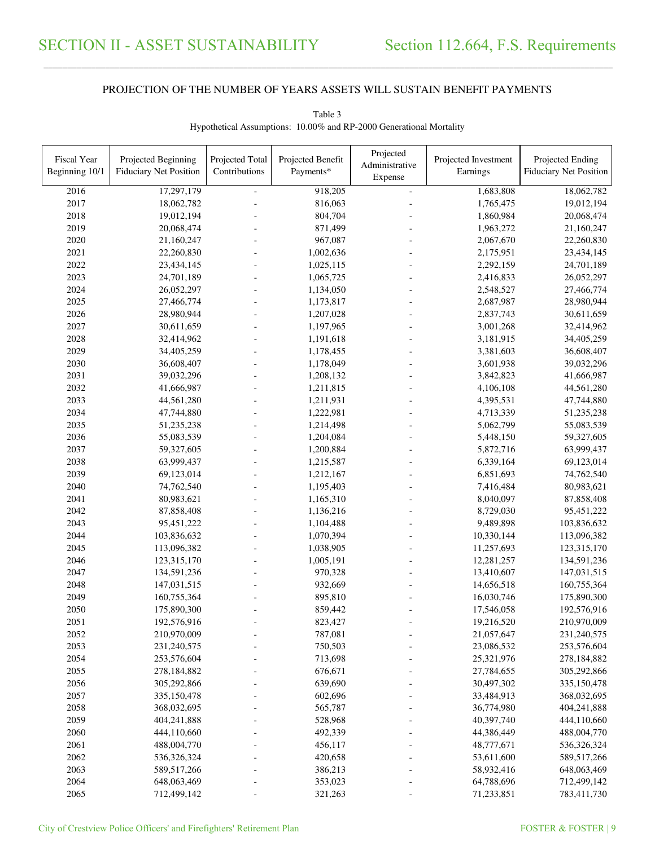\_\_\_\_\_\_\_\_\_\_\_\_\_\_\_\_\_\_\_\_\_\_\_\_\_\_\_\_\_\_\_\_\_\_\_\_\_\_\_\_\_\_\_\_\_\_\_\_\_\_\_\_\_\_\_\_\_\_\_\_\_\_\_\_\_\_\_\_\_\_\_\_\_\_\_\_\_\_\_\_\_\_\_\_\_\_\_\_\_\_\_\_\_\_\_\_\_\_\_\_\_\_\_\_\_\_\_\_\_\_\_\_\_\_\_\_\_\_\_\_\_\_\_\_\_\_\_\_\_\_\_\_\_\_\_\_\_\_\_\_\_\_\_\_\_\_\_\_\_\_

| <b>Fiscal Year</b> | Projected Beginning           | Projected Total | Projected Benefit | Projected<br>Administrative | Projected Investment | Projected Ending              |
|--------------------|-------------------------------|-----------------|-------------------|-----------------------------|----------------------|-------------------------------|
| Beginning 10/1     | <b>Fiduciary Net Position</b> | Contributions   | Payments*         | Expense                     | Earnings             | <b>Fiduciary Net Position</b> |
| 2016               | 17,297,179                    |                 | 918,205           | $\equiv$                    | 1,683,808            | 18,062,782                    |
| 2017               | 18,062,782                    |                 | 816,063           |                             | 1,765,475            | 19,012,194                    |
| 2018               | 19,012,194                    |                 | 804,704           |                             | 1,860,984            | 20,068,474                    |
| 2019               | 20,068,474                    |                 | 871,499           |                             | 1,963,272            | 21,160,247                    |
| 2020               | 21,160,247                    |                 | 967,087           |                             | 2,067,670            | 22,260,830                    |
| 2021               | 22,260,830                    |                 | 1,002,636         |                             | 2,175,951            | 23,434,145                    |
| 2022               | 23,434,145                    |                 | 1,025,115         |                             | 2,292,159            | 24,701,189                    |
| 2023               | 24,701,189                    |                 | 1,065,725         |                             | 2,416,833            | 26,052,297                    |
| 2024               | 26,052,297                    |                 | 1,134,050         |                             | 2,548,527            | 27,466,774                    |
| 2025               | 27,466,774                    |                 | 1,173,817         |                             | 2,687,987            | 28,980,944                    |
| 2026               | 28,980,944                    |                 | 1,207,028         |                             | 2,837,743            | 30,611,659                    |
| 2027               | 30,611,659                    |                 | 1,197,965         |                             | 3,001,268            | 32,414,962                    |
| 2028               | 32,414,962                    |                 | 1,191,618         |                             | 3,181,915            | 34,405,259                    |
| 2029               | 34,405,259                    |                 | 1,178,455         |                             | 3,381,603            | 36,608,407                    |
| 2030               | 36,608,407                    |                 | 1,178,049         |                             | 3,601,938            | 39,032,296                    |
| 2031               | 39,032,296                    |                 | 1,208,132         |                             | 3,842,823            | 41,666,987                    |
| 2032               | 41,666,987                    |                 | 1,211,815         |                             | 4,106,108            | 44,561,280                    |
| 2033               | 44,561,280                    |                 | 1,211,931         |                             | 4,395,531            | 47,744,880                    |
| 2034               | 47,744,880                    |                 | 1,222,981         |                             | 4,713,339            | 51,235,238                    |
| 2035               | 51,235,238                    |                 | 1,214,498         |                             | 5,062,799            | 55,083,539                    |
| 2036               | 55,083,539                    |                 | 1,204,084         |                             | 5,448,150            | 59,327,605                    |
| 2037               | 59,327,605                    |                 | 1,200,884         |                             | 5,872,716            | 63,999,437                    |
| 2038               | 63,999,437                    |                 | 1,215,587         |                             | 6,339,164            | 69,123,014                    |
| 2039               | 69,123,014                    |                 | 1,212,167         |                             | 6,851,693            | 74,762,540                    |
| 2040               | 74,762,540                    |                 | 1,195,403         |                             | 7,416,484            | 80,983,621                    |
| 2041               | 80,983,621                    |                 | 1,165,310         |                             | 8,040,097            | 87,858,408                    |
| 2042               | 87,858,408                    |                 | 1,136,216         |                             | 8,729,030            | 95,451,222                    |
| 2043               | 95,451,222                    |                 | 1,104,488         |                             | 9,489,898            | 103,836,632                   |
| 2044               | 103,836,632                   |                 | 1,070,394         |                             | 10,330,144           | 113,096,382                   |
| 2045               | 113,096,382                   |                 | 1,038,905         |                             | 11,257,693           | 123,315,170                   |
| 2046               | 123,315,170                   |                 | 1,005,191         |                             | 12,281,257           | 134,591,236                   |
| 2047               | 134,591,236                   |                 | 970,328           |                             | 13,410,607           | 147,031,515                   |
| 2048               | 147,031,515                   |                 | 932,669           |                             | 14,656,518           | 160,755,364                   |
| 2049               | 160,755,364                   |                 | 895,810           |                             | 16,030,746           | 175,890,300                   |
| 2050               | 175,890,300                   |                 | 859,442           |                             | 17,546,058           | 192,576,916                   |
| 2051               | 192,576,916                   |                 | 823,427           |                             | 19,216,520           | 210,970,009                   |
| 2052               | 210,970,009                   |                 | 787,081           |                             | 21,057,647           | 231,240,575                   |
| 2053               | 231,240,575                   |                 | 750,503           |                             | 23,086,532           | 253,576,604                   |
| 2054               | 253,576,604                   |                 | 713,698           |                             | 25,321,976           | 278,184,882                   |
| 2055               | 278,184,882                   |                 | 676,671           |                             | 27,784,655           | 305,292,866                   |
| 2056               | 305,292,866                   |                 | 639,690           |                             | 30,497,302           | 335,150,478                   |
| 2057               | 335,150,478                   |                 | 602,696           |                             | 33,484,913           | 368,032,695                   |
| 2058               | 368,032,695                   |                 | 565,787           |                             | 36,774,980           | 404,241,888                   |
| 2059               | 404,241,888                   |                 | 528,968           |                             | 40,397,740           | 444,110,660                   |
| 2060               | 444,110,660                   |                 | 492,339           |                             | 44,386,449           | 488,004,770                   |
| 2061               | 488,004,770                   |                 | 456,117           |                             | 48,777,671           | 536,326,324                   |
| 2062               | 536,326,324                   |                 | 420,658           |                             | 53,611,600           | 589,517,266                   |
| 2063               | 589,517,266                   |                 | 386,213           |                             | 58,932,416           | 648,063,469                   |
| 2064               | 648,063,469                   |                 | 353,023           |                             | 64,788,696           | 712,499,142                   |
| 2065               | 712,499,142                   |                 | 321,263           |                             | 71,233,851           | 783,411,730                   |

Table 3 Hypothetical Assumptions: 10.00% and RP-2000 Generational Mortality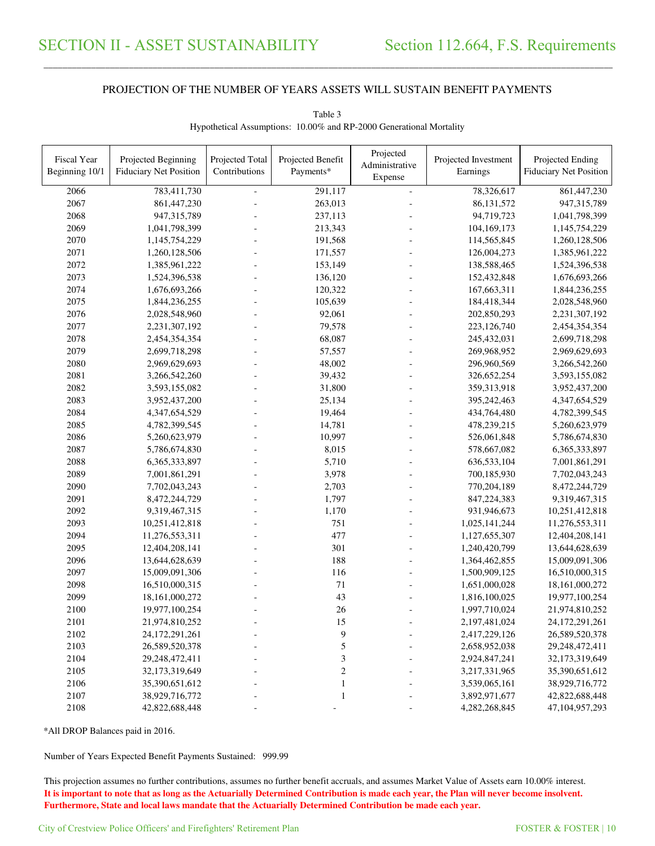\_\_\_\_\_\_\_\_\_\_\_\_\_\_\_\_\_\_\_\_\_\_\_\_\_\_\_\_\_\_\_\_\_\_\_\_\_\_\_\_\_\_\_\_\_\_\_\_\_\_\_\_\_\_\_\_\_\_\_\_\_\_\_\_\_\_\_\_\_\_\_\_\_\_\_\_\_\_\_\_\_\_\_\_\_\_\_\_\_\_\_\_\_\_\_\_\_\_\_\_\_\_\_\_\_\_\_\_\_\_\_\_\_\_\_\_\_\_\_\_\_\_\_\_\_\_\_\_\_\_\_\_\_\_\_\_\_\_\_\_\_\_\_\_\_\_\_\_\_\_

| <b>Fiscal Year</b><br>Beginning 10/1 | Projected Beginning<br><b>Fiduciary Net Position</b> | Projected Total<br>Contributions | Projected Benefit<br>Payments* | Projected<br>Administrative<br>Expense | Projected Investment<br>Earnings | Projected Ending<br><b>Fiduciary Net Position</b> |
|--------------------------------------|------------------------------------------------------|----------------------------------|--------------------------------|----------------------------------------|----------------------------------|---------------------------------------------------|
| 2066                                 | 783,411,730                                          | $\overline{\phantom{a}}$         | 291,117                        | $\sim$                                 | 78,326,617                       | 861,447,230                                       |
| 2067                                 | 861,447,230                                          |                                  | 263,013                        |                                        | 86, 131, 572                     | 947,315,789                                       |
| 2068                                 | 947,315,789                                          |                                  | 237,113                        |                                        | 94,719,723                       | 1,041,798,399                                     |
| 2069                                 | 1,041,798,399                                        |                                  | 213,343                        |                                        | 104,169,173                      | 1,145,754,229                                     |
| 2070                                 | 1,145,754,229                                        |                                  | 191,568                        |                                        | 114,565,845                      | 1,260,128,506                                     |
| 2071                                 | 1,260,128,506                                        |                                  | 171,557                        |                                        | 126,004,273                      | 1,385,961,222                                     |
| 2072                                 | 1,385,961,222                                        |                                  | 153,149                        |                                        | 138,588,465                      | 1,524,396,538                                     |
| 2073                                 | 1,524,396,538                                        |                                  | 136,120                        |                                        | 152,432,848                      | 1,676,693,266                                     |
| 2074                                 | 1,676,693,266                                        |                                  | 120,322                        |                                        | 167,663,311                      | 1,844,236,255                                     |
| 2075                                 |                                                      |                                  | 105,639                        |                                        |                                  |                                                   |
| 2076                                 | 1,844,236,255<br>2,028,548,960                       |                                  | 92,061                         |                                        | 184,418,344<br>202,850,293       | 2,028,548,960                                     |
| 2077                                 |                                                      |                                  | 79,578                         |                                        |                                  | 2,231,307,192                                     |
|                                      | 2,231,307,192                                        |                                  |                                |                                        | 223,126,740                      | 2,454,354,354                                     |
| 2078                                 | 2,454,354,354                                        |                                  | 68,087                         |                                        | 245,432,031                      | 2,699,718,298                                     |
| 2079                                 | 2,699,718,298                                        |                                  | 57,557                         |                                        | 269,968,952                      | 2,969,629,693                                     |
| 2080                                 | 2,969,629,693                                        |                                  | 48,002                         |                                        | 296,960,569                      | 3,266,542,260                                     |
| 2081                                 | 3,266,542,260                                        |                                  | 39,432                         |                                        | 326,652,254                      | 3,593,155,082                                     |
| 2082                                 | 3,593,155,082                                        |                                  | 31,800                         |                                        | 359,313,918                      | 3,952,437,200                                     |
| 2083                                 | 3,952,437,200                                        |                                  | 25,134                         |                                        | 395,242,463                      | 4,347,654,529                                     |
| 2084                                 | 4,347,654,529                                        |                                  | 19,464                         |                                        | 434,764,480                      | 4,782,399,545                                     |
| 2085                                 | 4,782,399,545                                        |                                  | 14,781                         |                                        | 478,239,215                      | 5,260,623,979                                     |
| 2086                                 | 5,260,623,979                                        |                                  | 10,997                         |                                        | 526,061,848                      | 5,786,674,830                                     |
| 2087                                 | 5,786,674,830                                        |                                  | 8,015                          |                                        | 578,667,082                      | 6,365,333,897                                     |
| 2088                                 | 6,365,333,897                                        |                                  | 5,710                          |                                        | 636,533,104                      | 7,001,861,291                                     |
| 2089                                 | 7,001,861,291                                        |                                  | 3,978                          |                                        | 700,185,930                      | 7,702,043,243                                     |
| 2090                                 | 7,702,043,243                                        |                                  | 2,703                          |                                        | 770,204,189                      | 8,472,244,729                                     |
| 2091                                 | 8,472,244,729                                        |                                  | 1,797                          |                                        | 847,224,383                      | 9,319,467,315                                     |
| 2092                                 | 9,319,467,315                                        |                                  | 1,170                          |                                        | 931,946,673                      | 10,251,412,818                                    |
| 2093                                 | 10,251,412,818                                       |                                  | 751                            |                                        | 1,025,141,244                    | 11,276,553,311                                    |
| 2094                                 | 11,276,553,311                                       |                                  | 477                            |                                        | 1,127,655,307                    | 12,404,208,141                                    |
| 2095                                 | 12,404,208,141                                       |                                  | 301                            |                                        | 1,240,420,799                    | 13,644,628,639                                    |
| 2096                                 | 13,644,628,639                                       |                                  | 188                            |                                        | 1,364,462,855                    | 15,009,091,306                                    |
| 2097                                 | 15,009,091,306                                       |                                  | 116                            |                                        | 1,500,909,125                    | 16,510,000,315                                    |
| 2098                                 | 16,510,000,315                                       |                                  | $71\,$                         |                                        | 1,651,000,028                    | 18,161,000,272                                    |
| 2099                                 | 18,161,000,272                                       |                                  | 43                             |                                        | 1,816,100,025                    | 19,977,100,254                                    |
| 2100                                 | 19,977,100,254                                       |                                  | 26                             |                                        | 1,997,710,024                    | 21,974,810,252                                    |
| 2101                                 | 21,974,810,252                                       |                                  | 15                             |                                        | 2,197,481,024                    | 24,172,291,261                                    |
| 2102                                 | 24, 172, 291, 261                                    |                                  | 9                              | $\overline{a}$                         | 2,417,229,126                    | 26,589,520,378                                    |
| 2103                                 | 26,589,520,378                                       |                                  | 5                              |                                        | 2,658,952,038                    | 29,248,472,411                                    |
| 2104                                 | 29,248,472,411                                       |                                  | $\mathfrak{Z}$                 |                                        | 2,924,847,241                    | 32,173,319,649                                    |
| 2105                                 | 32,173,319,649                                       |                                  | $\overline{c}$                 |                                        | 3,217,331,965                    | 35,390,651,612                                    |
| 2106                                 | 35,390,651,612                                       |                                  | $\mathbf{1}$                   |                                        | 3,539,065,161                    | 38,929,716,772                                    |
| 2107                                 | 38,929,716,772                                       |                                  | $\mathbf{1}$                   |                                        | 3,892,971,677                    | 42,822,688,448                                    |
| 2108                                 | 42,822,688,448                                       |                                  |                                |                                        | 4,282,268,845                    | 47,104,957,293                                    |
|                                      |                                                      |                                  |                                |                                        |                                  |                                                   |

Table 3 Hypothetical Assumptions: 10.00% and RP-2000 Generational Mortality

\*All DROP Balances paid in 2016.

Number of Years Expected Benefit Payments Sustained: 999.99

This projection assumes no further contributions, assumes no further benefit accruals, and assumes Market Value of Assets earn 10.00% interest. **It is important to note that as long as the Actuarially Determined Contribution is made each year, the Plan will never become insolvent. Furthermore, State and local laws mandate that the Actuarially Determined Contribution be made each year.**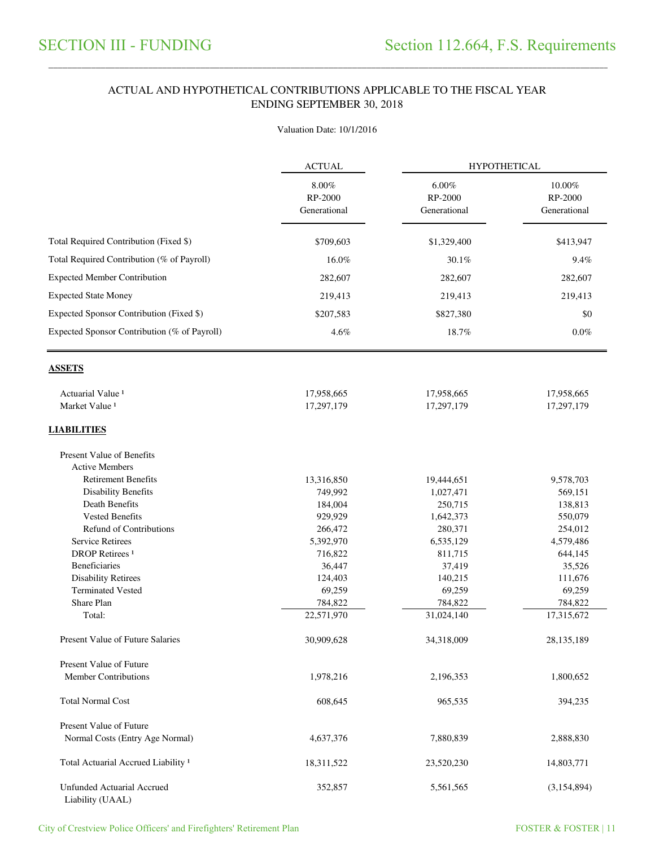### ACTUAL AND HYPOTHETICAL CONTRIBUTIONS APPLICABLE TO THE FISCAL YEAR ENDING SEPTEMBER 30, 2018

\_\_\_\_\_\_\_\_\_\_\_\_\_\_\_\_\_\_\_\_\_\_\_\_\_\_\_\_\_\_\_\_\_\_\_\_\_\_\_\_\_\_\_\_\_\_\_\_\_\_\_\_\_\_\_\_\_\_\_\_\_\_\_\_\_\_\_\_\_\_\_\_\_\_\_\_\_\_\_\_\_\_\_\_\_\_\_\_\_\_\_\_\_\_\_\_\_\_\_\_\_\_\_\_\_\_\_\_\_\_\_\_\_\_\_\_\_\_\_\_\_\_\_\_\_\_\_\_\_\_\_\_\_\_\_\_\_\_\_\_\_\_\_\_\_\_\_\_\_\_

#### Valuation Date: 10/1/2016

|                                                | <b>ACTUAL</b>                       | <b>HYPOTHETICAL</b>                 |                                   |  |
|------------------------------------------------|-------------------------------------|-------------------------------------|-----------------------------------|--|
|                                                | $8.00\%$<br>RP-2000<br>Generational | $6.00\%$<br>RP-2000<br>Generational | 10.00%<br>RP-2000<br>Generational |  |
| Total Required Contribution (Fixed \$)         | \$709,603                           | \$1,329,400                         | \$413,947                         |  |
| Total Required Contribution (% of Payroll)     | 16.0%                               | 30.1%                               | 9.4%                              |  |
| <b>Expected Member Contribution</b>            | 282,607                             | 282,607                             | 282,607                           |  |
| <b>Expected State Money</b>                    | 219,413                             | 219,413                             | 219,413                           |  |
| Expected Sponsor Contribution (Fixed \$)       | \$207,583                           | \$827,380                           | \$0                               |  |
|                                                |                                     |                                     |                                   |  |
| Expected Sponsor Contribution (% of Payroll)   | 4.6%                                | 18.7%                               | $0.0\%$                           |  |
| <b>ASSETS</b>                                  |                                     |                                     |                                   |  |
| Actuarial Value <sup>1</sup>                   | 17,958,665                          | 17,958,665                          | 17,958,665                        |  |
| Market Value <sup>1</sup>                      | 17,297,179                          | 17,297,179                          | 17,297,179                        |  |
| <b>LIABILITIES</b>                             |                                     |                                     |                                   |  |
| Present Value of Benefits                      |                                     |                                     |                                   |  |
| <b>Active Members</b>                          |                                     |                                     |                                   |  |
| <b>Retirement Benefits</b>                     | 13,316,850                          | 19,444,651                          | 9,578,703                         |  |
| <b>Disability Benefits</b>                     | 749,992                             | 1,027,471                           | 569,151                           |  |
| Death Benefits                                 | 184,004                             | 250,715                             | 138,813                           |  |
| <b>Vested Benefits</b>                         | 929,929                             | 1,642,373                           | 550,079                           |  |
| <b>Refund of Contributions</b>                 | 266,472                             | 280,371                             | 254,012                           |  |
| <b>Service Retirees</b>                        | 5,392,970                           | 6,535,129                           | 4,579,486                         |  |
| <b>DROP</b> Retirees <sup>1</sup>              | 716,822                             | 811,715                             | 644,145                           |  |
| Beneficiaries                                  | 36,447                              | 37,419                              | 35,526                            |  |
| <b>Disability Retirees</b>                     | 124,403                             | 140,215                             | 111,676                           |  |
| <b>Terminated Vested</b>                       | 69,259                              | 69,259                              | 69,259                            |  |
| Share Plan                                     | 784,822                             | 784,822                             | 784,822                           |  |
| Total:                                         | 22,571,970                          | 31,024,140                          | 17,315,672                        |  |
| Present Value of Future Salaries               | 30,909,628                          | 34,318,009                          | 28, 135, 189                      |  |
| Present Value of Future                        |                                     |                                     |                                   |  |
| <b>Member Contributions</b>                    | 1,978,216                           | 2,196,353                           | 1,800,652                         |  |
| <b>Total Normal Cost</b>                       | 608,645                             | 965,535                             | 394,235                           |  |
| <b>Present Value of Future</b>                 |                                     |                                     |                                   |  |
| Normal Costs (Entry Age Normal)                | 4,637,376                           | 7,880,839                           | 2,888,830                         |  |
| Total Actuarial Accrued Liability <sup>1</sup> | 18,311,522                          | 23,520,230                          | 14,803,771                        |  |
| Unfunded Actuarial Accrued<br>Liability (UAAL) | 352,857                             | 5,561,565                           | (3,154,894)                       |  |